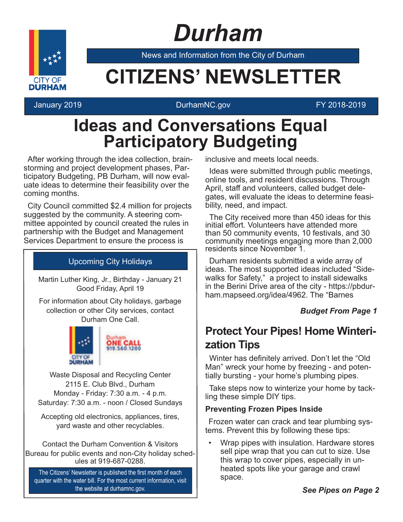# *Durham*



News and Information from the City of Durham

### **CITIZENS' NEWSLETTER**

#### January 2019 DurhamNC.gov FY 2018-2019

### **Ideas and Conversations Equal Participatory Budgeting**

After working through the idea collection, brainstorming and project development phases, Participatory Budgeting, PB Durham, will now evaluate ideas to determine their feasibility over the coming months.

City Council committed \$2.4 million for projects suggested by the community. A steering committee appointed by council created the rules in partnership with the Budget and Management Services Department to ensure the process is

#### Upcoming City Holidays

Martin Luther King, Jr., Birthday - January 21 Good Friday, April 19

For information about City holidays, garbage collection or other City services, contact Durham One Call.



Waste Disposal and Recycling Center 2115 E. Club Blvd., Durham Monday - Friday: 7:30 a.m. - 4 p.m. Saturday: 7:30 a.m. - noon / Closed Sundays

Accepting old electronics, appliances, tires, yard waste and other recyclables.

Contact the Durham Convention & Visitors Bureau for public events and non-City holiday schedules at 919-687-0288.

The Citizens' Newsletter is published the first month of each quarter with the water bill. For the most current information, visit the website at durhamnc.gov.

inclusive and meets local needs.

Ideas were submitted through public meetings, online tools, and resident discussions. Through April, staff and volunteers, called budget delegates, will evaluate the ideas to determine feasibility, need, and impact.

The City received more than 450 ideas for this initial effort. Volunteers have attended more than 50 community events, 10 festivals, and 30 community meetings engaging more than 2,000 residents since November 1.

Durham residents submitted a wide array of ideas. The most supported ideas included "Sidewalks for Safety," a project to install sidewalks in the Berini Drive area of the city - https://pbdurham.mapseed.org/idea/4962. The "Barnes

#### *Budget From Page 1*

### **Protect Your Pipes! Home Winterization Tips**

Winter has definitely arrived. Don't let the "Old" Man" wreck your home by freezing - and potentially bursting - your home's plumbing pipes.

Take steps now to winterize your home by tackling these simple DIY tips.

#### **Preventing Frozen Pipes Inside**

Frozen water can crack and tear plumbing systems. Prevent this by following these tips:

• Wrap pipes with insulation. Hardware stores sell pipe wrap that you can cut to size. Use this wrap to cover pipes, especially in unheated spots like your garage and crawl space.